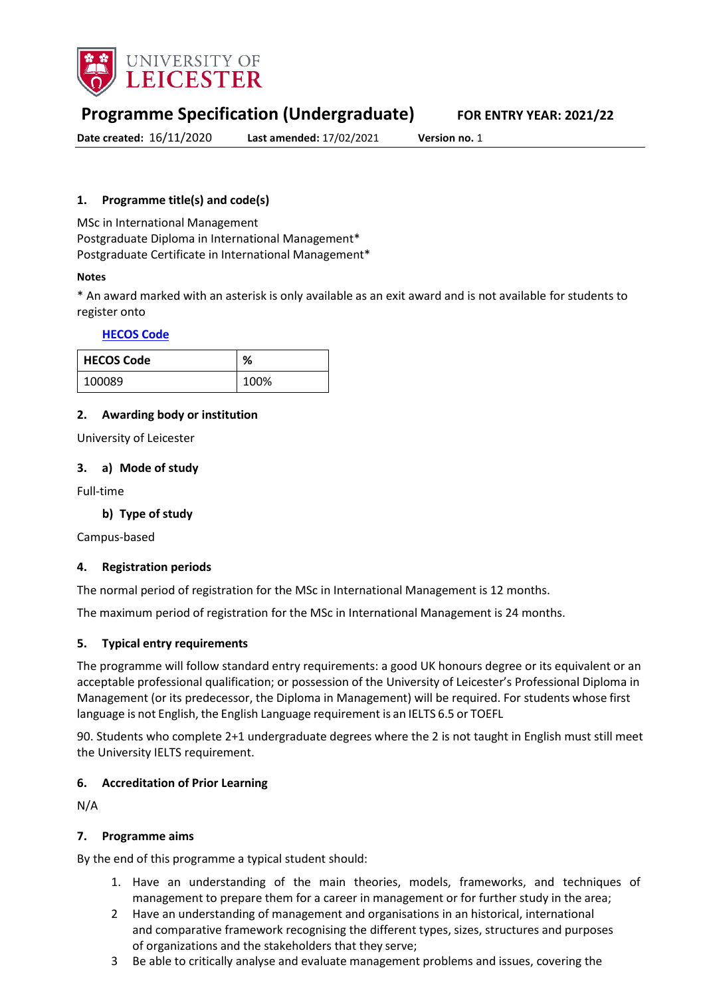

**Date created:** 16/11/2020 **Last amended:** 17/02/2021 **Version no.** 1

### <span id="page-0-0"></span>**1. Programme title(s) and code(s)**

MSc in International Management Postgraduate Diploma in International Management\* Postgraduate Certificate in International Management\*

### **Notes**

\* An award marked with an asterisk is only available as an exit award and is not available for students to register onto

### **[HECOS Code](https://www.hesa.ac.uk/innovation/hecos)**

| <b>HECOS Code</b> | %    |
|-------------------|------|
| 100089            | 100% |

### **2. Awarding body or institution**

University of Leicester

### **3. a) Mode of study**

Full-time

### **b) Type of study**

Campus-based

### **4. Registration periods**

The normal period of registration for the MSc in International Management is 12 months.

The maximum period of registration for the MSc in International Management is 24 months.

### **5. Typical entry requirements**

The programme will follow standard entry requirements: a good UK honours degree or its equivalent or an acceptable professional qualification; or possession of the University of Leicester's Professional Diploma in Management (or its predecessor, the Diploma in Management) will be required. For students whose first language is not English, the English Language requirement is an IELTS 6.5 or TOEFL

90. Students who complete 2+1 undergraduate degrees where the 2 is not taught in English must still meet the University IELTS requirement.

### **6. Accreditation of Prior Learning**

N/A

### **7. Programme aims**

By the end of this programme a typical student should:

- 1. Have an understanding of the main theories, models, frameworks, and techniques of management to prepare them for a career in management or for further study in the area;
- 2 Have an understanding of management and organisations in an historical, international and comparative framework recognising the different types, sizes, structures and purposes of organizations and the stakeholders that they serve;
- 3 Be able to critically analyse and evaluate management problems and issues, covering the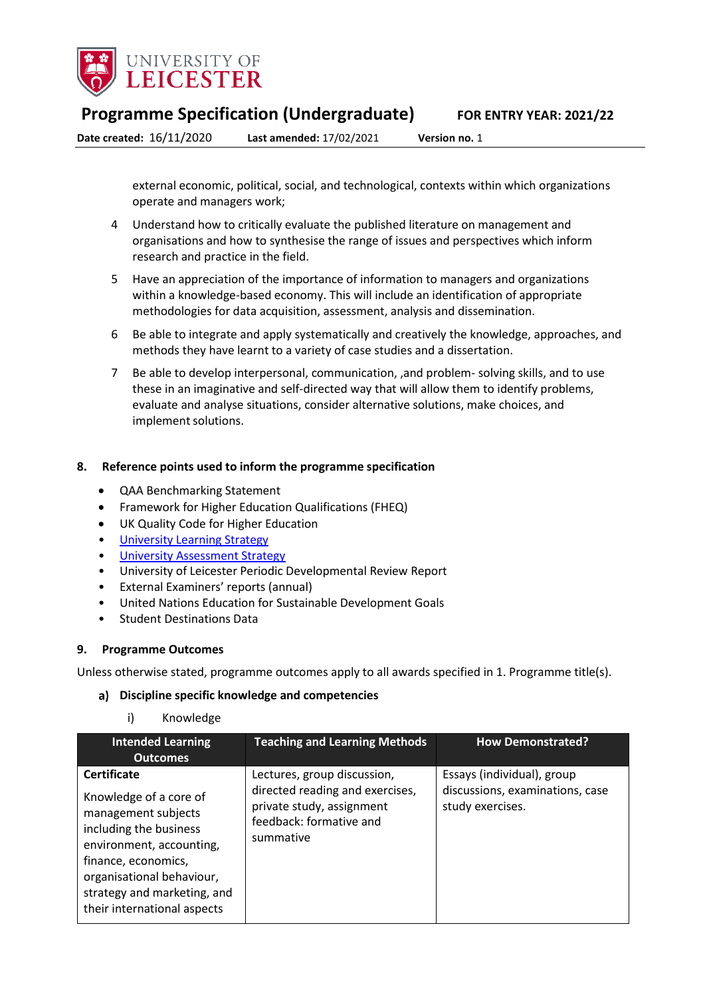

**Date created:** 16/11/2020 **Last amended:** 17/02/2021 **Version no.** 1

external economic, political, social, and technological, contexts within which organizations operate and managers work;

- 4 Understand how to critically evaluate the published literature on management and organisations and how to synthesise the range of issues and perspectives which inform research and practice in the field.
- 5 Have an appreciation of the importance of information to managers and organizations within a knowledge-based economy. This will include an identification of appropriate methodologies for data acquisition, assessment, analysis and dissemination.
- 6 Be able to integrate and apply systematically and creatively the knowledge, approaches, and methods they have learnt to a variety of case studies and a dissertation.
- 7 Be able to develop interpersonal, communication, ,and problem- solving skills, and to use these in an imaginative and self-directed way that will allow them to identify problems, evaluate and analyse situations, consider alternative solutions, make choices, and implement solutions.

### **8. Reference points used to inform the programme specification**

- QAA Benchmarking Statement
- Framework for Higher Education Qualifications (FHEQ)
- UK Quality Code for Higher Education
- **[University Learning](https://www2.le.ac.uk/offices/sas2/quality/learnteach) Strategy**
- [University Assessment Strategy](https://www2.le.ac.uk/offices/sas2/quality/learnteach)
- University of Leicester Periodic Developmental Review Report
- External Examiners' reports (annual)
- United Nations Education for Sustainable Development Goals
- Student Destinations Data

### **9. Programme Outcomes**

Unless otherwise stated, programme outcomes apply to all awards specified in [1.](#page-0-0) Programme title(s).

### **Discipline specific knowledge and competencies**

### i) Knowledge

| <b>Intended Learning</b>                                                                                                                                                                                                                    | <b>Teaching and Learning Methods</b>                                                                                                | <b>How Demonstrated?</b>                                                          |
|---------------------------------------------------------------------------------------------------------------------------------------------------------------------------------------------------------------------------------------------|-------------------------------------------------------------------------------------------------------------------------------------|-----------------------------------------------------------------------------------|
| <b>Outcomes</b>                                                                                                                                                                                                                             |                                                                                                                                     |                                                                                   |
| <b>Certificate</b><br>Knowledge of a core of<br>management subjects<br>including the business<br>environment, accounting,<br>finance, economics,<br>organisational behaviour,<br>strategy and marketing, and<br>their international aspects | Lectures, group discussion,<br>directed reading and exercises,<br>private study, assignment<br>feedback: formative and<br>summative | Essays (individual), group<br>discussions, examinations, case<br>study exercises. |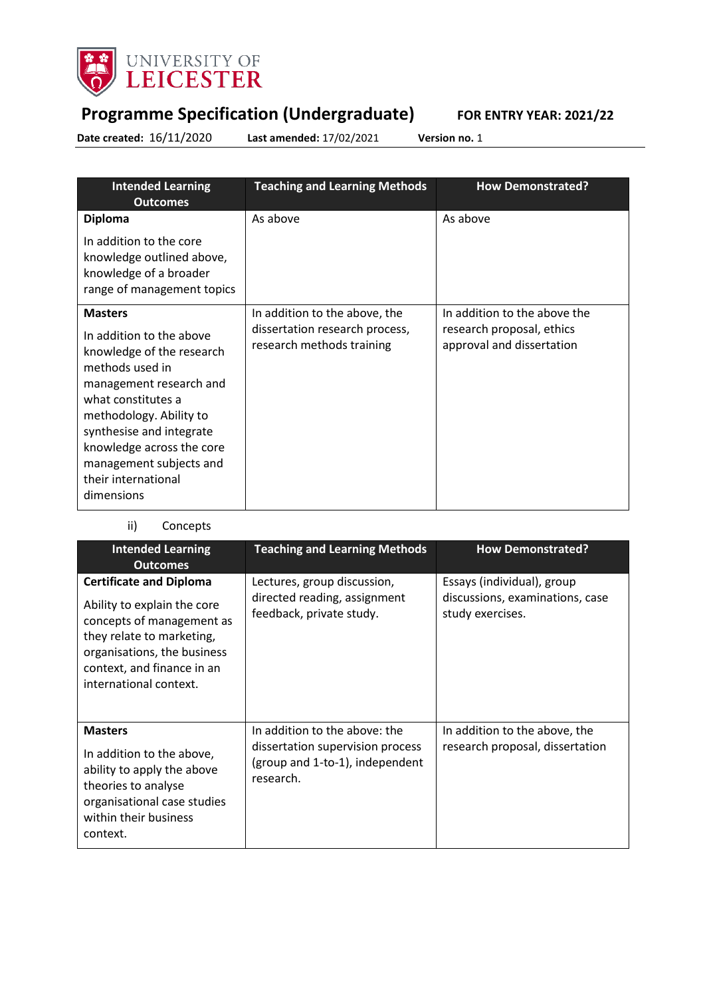

**Date created:** 16/11/2020 **Last amended:** 17/02/2021 **Version no.** 1

**Intended Learning Outcomes Teaching and Learning Methods How Demonstrated? Diploma** In addition to the core knowledge outlined above, knowledge of a broader range of management topics As above a set all as above **Masters** In addition to the above knowledge of the research methods used in management research and what constitutes a methodology. Ability to synthesise and integrate knowledge across the core management subjects and their international dimensions In addition to the above, the dissertation research process, research methods training In addition to the above the research proposal, ethics approval and dissertation

ii) Concepts

| <b>Intended Learning</b><br><b>Outcomes</b>                                                                                                                                                                    | <b>Teaching and Learning Methods</b>                                                                              | <b>How Demonstrated?</b>                                                          |
|----------------------------------------------------------------------------------------------------------------------------------------------------------------------------------------------------------------|-------------------------------------------------------------------------------------------------------------------|-----------------------------------------------------------------------------------|
| <b>Certificate and Diploma</b><br>Ability to explain the core<br>concepts of management as<br>they relate to marketing,<br>organisations, the business<br>context, and finance in an<br>international context. | Lectures, group discussion,<br>directed reading, assignment<br>feedback, private study.                           | Essays (individual), group<br>discussions, examinations, case<br>study exercises. |
| <b>Masters</b><br>In addition to the above,<br>ability to apply the above<br>theories to analyse<br>organisational case studies<br>within their business<br>context.                                           | In addition to the above: the<br>dissertation supervision process<br>(group and 1-to-1), independent<br>research. | In addition to the above, the<br>research proposal, dissertation                  |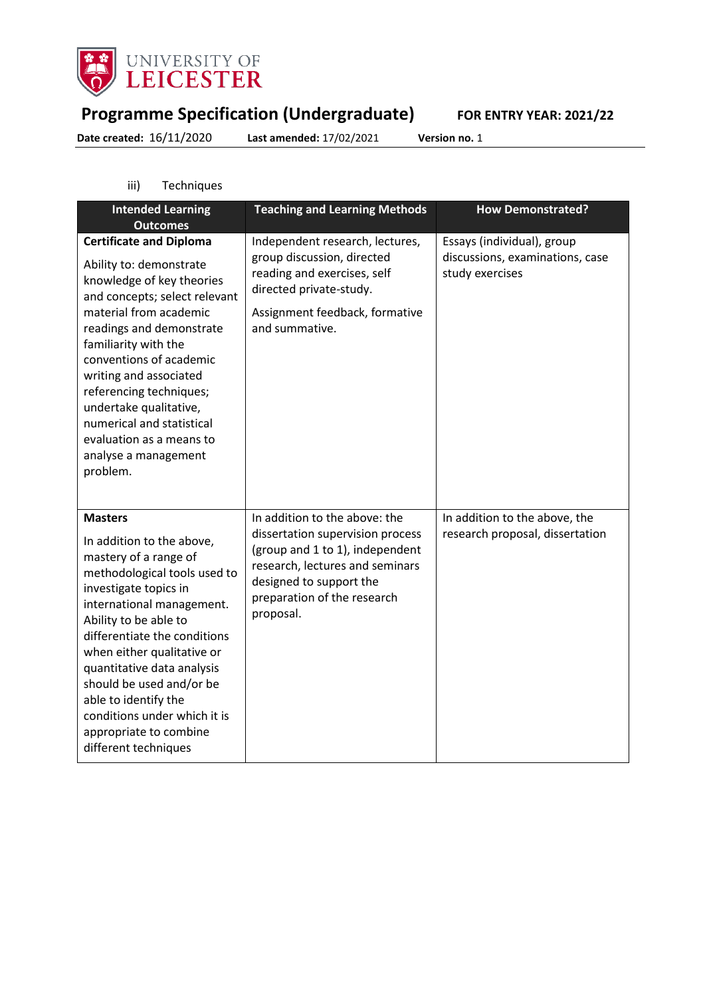

**Date created:** 16/11/2020 **Last amended:** 17/02/2021 **Version no.** 1

### iii) Techniques

| <b>Intended Learning</b><br><b>Outcomes</b>                                                                                                                                                                                                                                                                                                                                                                           | <b>Teaching and Learning Methods</b>                                                                                                                                                                           | <b>How Demonstrated?</b>                                                         |
|-----------------------------------------------------------------------------------------------------------------------------------------------------------------------------------------------------------------------------------------------------------------------------------------------------------------------------------------------------------------------------------------------------------------------|----------------------------------------------------------------------------------------------------------------------------------------------------------------------------------------------------------------|----------------------------------------------------------------------------------|
| <b>Certificate and Diploma</b><br>Ability to: demonstrate<br>knowledge of key theories<br>and concepts; select relevant<br>material from academic<br>readings and demonstrate<br>familiarity with the<br>conventions of academic<br>writing and associated<br>referencing techniques;<br>undertake qualitative,<br>numerical and statistical<br>evaluation as a means to<br>analyse a management<br>problem.          | Independent research, lectures,<br>group discussion, directed<br>reading and exercises, self<br>directed private-study.<br>Assignment feedback, formative<br>and summative.                                    | Essays (individual), group<br>discussions, examinations, case<br>study exercises |
| <b>Masters</b><br>In addition to the above,<br>mastery of a range of<br>methodological tools used to<br>investigate topics in<br>international management.<br>Ability to be able to<br>differentiate the conditions<br>when either qualitative or<br>quantitative data analysis<br>should be used and/or be<br>able to identify the<br>conditions under which it is<br>appropriate to combine<br>different techniques | In addition to the above: the<br>dissertation supervision process<br>(group and 1 to 1), independent<br>research, lectures and seminars<br>designed to support the<br>preparation of the research<br>proposal. | In addition to the above, the<br>research proposal, dissertation                 |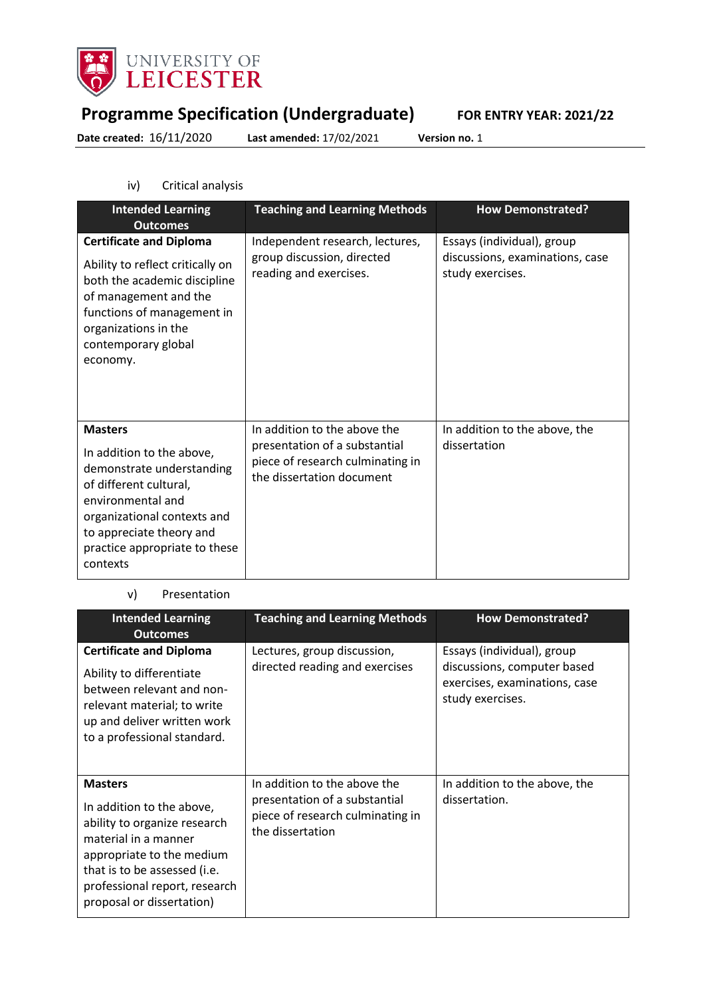

**Date created:** 16/11/2020 **Last amended:** 17/02/2021 **Version no.** 1

### iv) Critical analysis

| <b>Intended Learning</b><br><b>Outcomes</b>                                                                                                                                                                                     | <b>Teaching and Learning Methods</b>                                                                                           | <b>How Demonstrated?</b>                                                          |
|---------------------------------------------------------------------------------------------------------------------------------------------------------------------------------------------------------------------------------|--------------------------------------------------------------------------------------------------------------------------------|-----------------------------------------------------------------------------------|
| <b>Certificate and Diploma</b><br>Ability to reflect critically on<br>both the academic discipline<br>of management and the<br>functions of management in<br>organizations in the<br>contemporary global<br>economy.            | Independent research, lectures,<br>group discussion, directed<br>reading and exercises.                                        | Essays (individual), group<br>discussions, examinations, case<br>study exercises. |
| <b>Masters</b><br>In addition to the above,<br>demonstrate understanding<br>of different cultural,<br>environmental and<br>organizational contexts and<br>to appreciate theory and<br>practice appropriate to these<br>contexts | In addition to the above the<br>presentation of a substantial<br>piece of research culminating in<br>the dissertation document | In addition to the above, the<br>dissertation                                     |

### v) Presentation

| <b>Intended Learning</b><br><b>Outcomes</b>                                                                                                                                                                                    | <b>Teaching and Learning Methods</b>                                                                                  | <b>How Demonstrated?</b>                                                                                       |
|--------------------------------------------------------------------------------------------------------------------------------------------------------------------------------------------------------------------------------|-----------------------------------------------------------------------------------------------------------------------|----------------------------------------------------------------------------------------------------------------|
| <b>Certificate and Diploma</b><br>Ability to differentiate<br>between relevant and non-<br>relevant material; to write<br>up and deliver written work<br>to a professional standard.                                           | Lectures, group discussion,<br>directed reading and exercises                                                         | Essays (individual), group<br>discussions, computer based<br>exercises, examinations, case<br>study exercises. |
| <b>Masters</b><br>In addition to the above,<br>ability to organize research<br>material in a manner<br>appropriate to the medium<br>that is to be assessed (i.e.<br>professional report, research<br>proposal or dissertation) | In addition to the above the<br>presentation of a substantial<br>piece of research culminating in<br>the dissertation | In addition to the above, the<br>dissertation.                                                                 |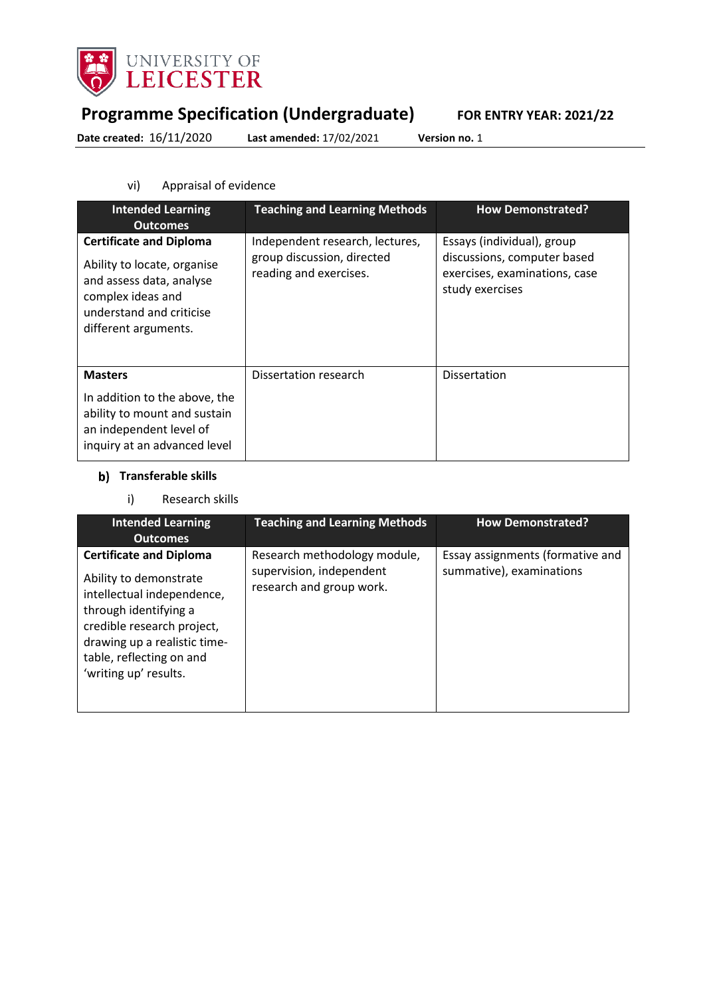

**Date created:** 16/11/2020 **Last amended:** 17/02/2021 **Version no.** 1

### vi) Appraisal of evidence

| <b>Intended Learning</b><br><b>Outcomes</b>                                                                                                                        | <b>Teaching and Learning Methods</b>                                                    | <b>How Demonstrated?</b>                                                                                      |
|--------------------------------------------------------------------------------------------------------------------------------------------------------------------|-----------------------------------------------------------------------------------------|---------------------------------------------------------------------------------------------------------------|
| <b>Certificate and Diploma</b><br>Ability to locate, organise<br>and assess data, analyse<br>complex ideas and<br>understand and criticise<br>different arguments. | Independent research, lectures,<br>group discussion, directed<br>reading and exercises. | Essays (individual), group<br>discussions, computer based<br>exercises, examinations, case<br>study exercises |
| <b>Masters</b><br>In addition to the above, the<br>ability to mount and sustain<br>an independent level of<br>inquiry at an advanced level                         | Dissertation research                                                                   | <b>Dissertation</b>                                                                                           |

### **b)** Transferable skills

i) Research skills

| <b>Intended Learning</b><br><b>Outcomes</b>                                                                                                                                                                                        | <b>Teaching and Learning Methods</b>                                                 | <b>How Demonstrated?</b>                                     |
|------------------------------------------------------------------------------------------------------------------------------------------------------------------------------------------------------------------------------------|--------------------------------------------------------------------------------------|--------------------------------------------------------------|
| <b>Certificate and Diploma</b><br>Ability to demonstrate<br>intellectual independence,<br>through identifying a<br>credible research project,<br>drawing up a realistic time-<br>table, reflecting on and<br>'writing up' results. | Research methodology module,<br>supervision, independent<br>research and group work. | Essay assignments (formative and<br>summative), examinations |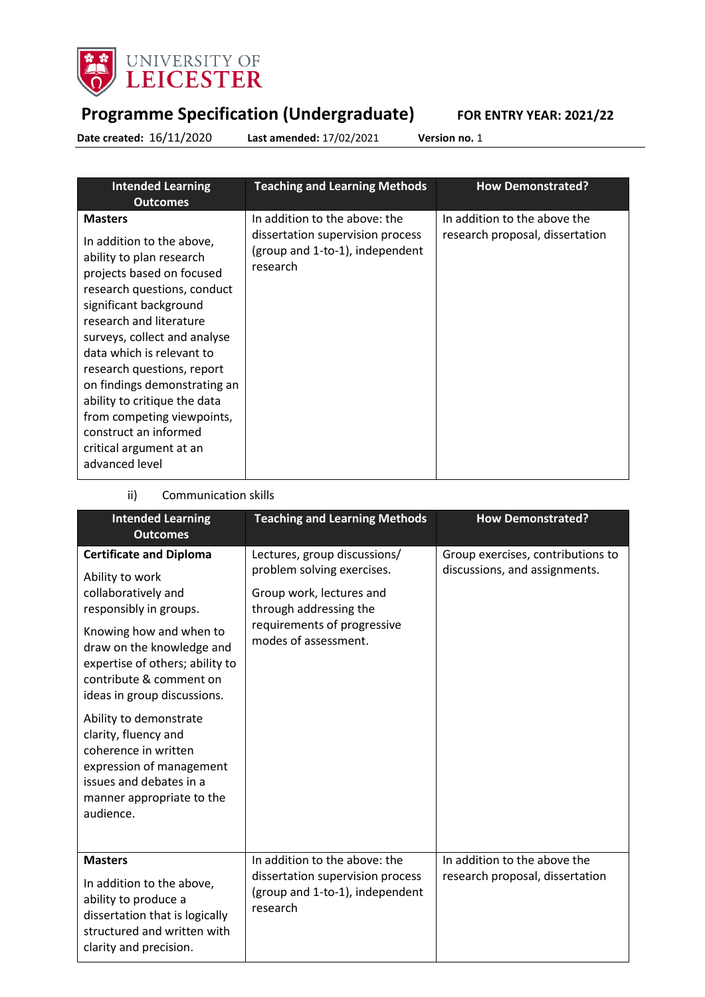

**Date created:** 16/11/2020 **Last amended:** 17/02/2021 **Version no.** 1

| <b>Intended Learning</b><br><b>Outcomes</b>                                                                                                                                                                                                                                                                                                                                                                                                             | <b>Teaching and Learning Methods</b>                                                                             | <b>How Demonstrated?</b>                                        |
|---------------------------------------------------------------------------------------------------------------------------------------------------------------------------------------------------------------------------------------------------------------------------------------------------------------------------------------------------------------------------------------------------------------------------------------------------------|------------------------------------------------------------------------------------------------------------------|-----------------------------------------------------------------|
| <b>Masters</b><br>In addition to the above,<br>ability to plan research<br>projects based on focused<br>research questions, conduct<br>significant background<br>research and literature<br>surveys, collect and analyse<br>data which is relevant to<br>research questions, report<br>on findings demonstrating an<br>ability to critique the data<br>from competing viewpoints,<br>construct an informed<br>critical argument at an<br>advanced level | In addition to the above: the<br>dissertation supervision process<br>(group and 1-to-1), independent<br>research | In addition to the above the<br>research proposal, dissertation |

ii) Communication skills

| <b>Intended Learning</b><br><b>Outcomes</b>                                                                                                                                                                                                                                                                                                                                                                                        | <b>Teaching and Learning Methods</b>                                                                                                                                    | <b>How Demonstrated?</b>                                           |
|------------------------------------------------------------------------------------------------------------------------------------------------------------------------------------------------------------------------------------------------------------------------------------------------------------------------------------------------------------------------------------------------------------------------------------|-------------------------------------------------------------------------------------------------------------------------------------------------------------------------|--------------------------------------------------------------------|
| <b>Certificate and Diploma</b><br>Ability to work<br>collaboratively and<br>responsibly in groups.<br>Knowing how and when to<br>draw on the knowledge and<br>expertise of others; ability to<br>contribute & comment on<br>ideas in group discussions.<br>Ability to demonstrate<br>clarity, fluency and<br>coherence in written<br>expression of management<br>issues and debates in a<br>manner appropriate to the<br>audience. | Lectures, group discussions/<br>problem solving exercises.<br>Group work, lectures and<br>through addressing the<br>requirements of progressive<br>modes of assessment. | Group exercises, contributions to<br>discussions, and assignments. |
| <b>Masters</b><br>In addition to the above,<br>ability to produce a<br>dissertation that is logically<br>structured and written with<br>clarity and precision.                                                                                                                                                                                                                                                                     | In addition to the above: the<br>dissertation supervision process<br>(group and 1-to-1), independent<br>research                                                        | In addition to the above the<br>research proposal, dissertation    |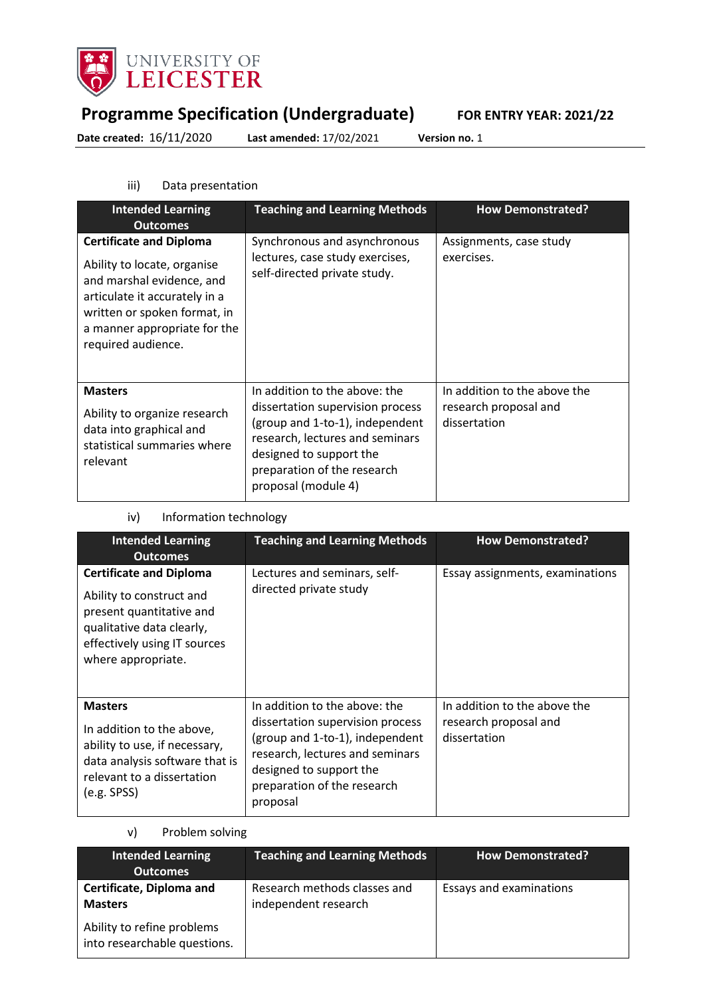

**Date created:** 16/11/2020 **Last amended:** 17/02/2021 **Version no.** 1

### iii) Data presentation

| <b>Intended Learning</b><br><b>Outcomes</b>                                                                                                                                                                       | <b>Teaching and Learning Methods</b>                                                                                                                                                                                     | <b>How Demonstrated?</b>                                              |
|-------------------------------------------------------------------------------------------------------------------------------------------------------------------------------------------------------------------|--------------------------------------------------------------------------------------------------------------------------------------------------------------------------------------------------------------------------|-----------------------------------------------------------------------|
| <b>Certificate and Diploma</b><br>Ability to locate, organise<br>and marshal evidence, and<br>articulate it accurately in a<br>written or spoken format, in<br>a manner appropriate for the<br>required audience. | Synchronous and asynchronous<br>lectures, case study exercises,<br>self-directed private study.                                                                                                                          | Assignments, case study<br>exercises.                                 |
| <b>Masters</b><br>Ability to organize research<br>data into graphical and<br>statistical summaries where<br>relevant                                                                                              | In addition to the above: the<br>dissertation supervision process<br>(group and 1-to-1), independent<br>research, lectures and seminars<br>designed to support the<br>preparation of the research<br>proposal (module 4) | In addition to the above the<br>research proposal and<br>dissertation |

## iv) Information technology

| <b>Intended Learning</b>                                                                                                                                                  | <b>Teaching and Learning Methods</b>                                                                                                                                                                          | <b>How Demonstrated?</b>                                              |
|---------------------------------------------------------------------------------------------------------------------------------------------------------------------------|---------------------------------------------------------------------------------------------------------------------------------------------------------------------------------------------------------------|-----------------------------------------------------------------------|
| <b>Outcomes</b>                                                                                                                                                           |                                                                                                                                                                                                               |                                                                       |
| <b>Certificate and Diploma</b><br>Ability to construct and<br>present quantitative and<br>qualitative data clearly,<br>effectively using IT sources<br>where appropriate. | Lectures and seminars, self-<br>directed private study                                                                                                                                                        | Essay assignments, examinations                                       |
| <b>Masters</b><br>In addition to the above,<br>ability to use, if necessary,<br>data analysis software that is<br>relevant to a dissertation<br>(e.g. SPSS)               | In addition to the above: the<br>dissertation supervision process<br>(group and 1-to-1), independent<br>research, lectures and seminars<br>designed to support the<br>preparation of the research<br>proposal | In addition to the above the<br>research proposal and<br>dissertation |

### v) Problem solving

| <b>Intended Learning</b>                                   | <b>Teaching and Learning Methods</b>                 | <b>How Demonstrated?</b> |
|------------------------------------------------------------|------------------------------------------------------|--------------------------|
| <b>Outcomes</b>                                            |                                                      |                          |
| Certificate, Diploma and<br><b>Masters</b>                 | Research methods classes and<br>independent research | Essays and examinations  |
| Ability to refine problems<br>into researchable questions. |                                                      |                          |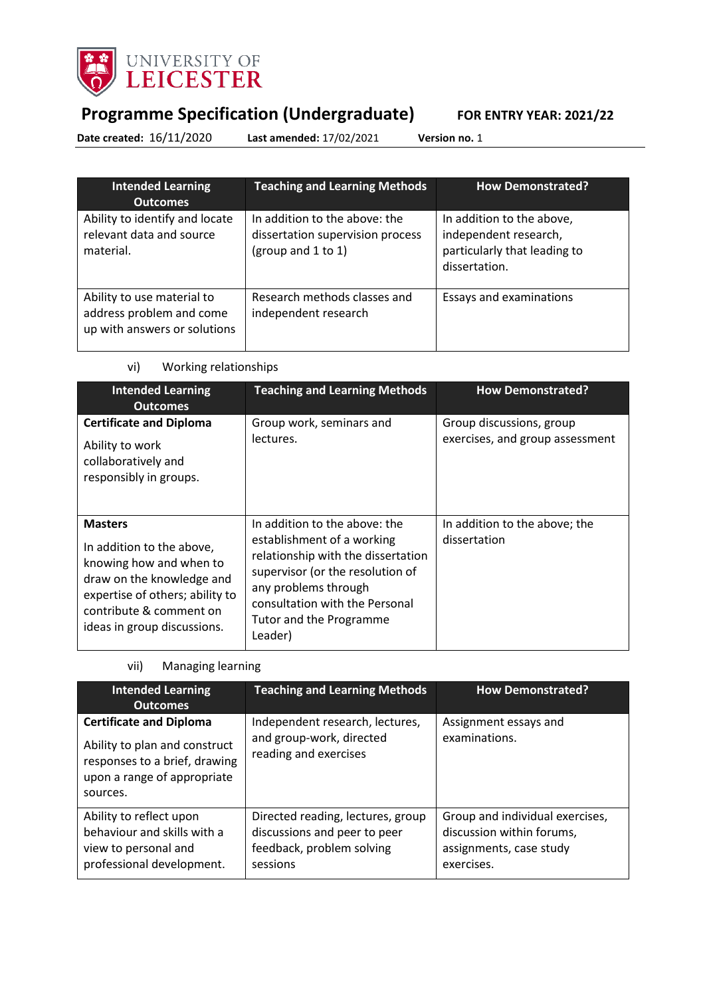

**Date created:** 16/11/2020 **Last amended:** 17/02/2021 **Version no.** 1

| <b>Intended Learning</b><br><b>Outcomes</b>                                            | <b>Teaching and Learning Methods</b>                                                    | <b>How Demonstrated?</b>                                                                            |
|----------------------------------------------------------------------------------------|-----------------------------------------------------------------------------------------|-----------------------------------------------------------------------------------------------------|
| Ability to identify and locate<br>relevant data and source<br>material.                | In addition to the above: the<br>dissertation supervision process<br>(group and 1 to 1) | In addition to the above,<br>independent research,<br>particularly that leading to<br>dissertation. |
| Ability to use material to<br>address problem and come<br>up with answers or solutions | Research methods classes and<br>independent research                                    | Essays and examinations                                                                             |

### vi) Working relationships

| <b>Intended Learning</b><br><b>Outcomes</b>                                                                                                                                                      | <b>Teaching and Learning Methods</b>                                                                                                                                                                                                  | <b>How Demonstrated?</b>                                    |
|--------------------------------------------------------------------------------------------------------------------------------------------------------------------------------------------------|---------------------------------------------------------------------------------------------------------------------------------------------------------------------------------------------------------------------------------------|-------------------------------------------------------------|
| <b>Certificate and Diploma</b><br>Ability to work<br>collaboratively and<br>responsibly in groups.                                                                                               | Group work, seminars and<br>lectures.                                                                                                                                                                                                 | Group discussions, group<br>exercises, and group assessment |
| <b>Masters</b><br>In addition to the above,<br>knowing how and when to<br>draw on the knowledge and<br>expertise of others; ability to<br>contribute & comment on<br>ideas in group discussions. | In addition to the above: the<br>establishment of a working<br>relationship with the dissertation<br>supervisor (or the resolution of<br>any problems through<br>consultation with the Personal<br>Tutor and the Programme<br>Leader) | In addition to the above; the<br>dissertation               |

| vii) | Managing learning |  |
|------|-------------------|--|
|      |                   |  |

| <b>Intended Learning</b><br><b>Outcomes</b>                                                                                                 | <b>Teaching and Learning Methods</b>                                                                       | <b>How Demonstrated?</b>                                                                              |
|---------------------------------------------------------------------------------------------------------------------------------------------|------------------------------------------------------------------------------------------------------------|-------------------------------------------------------------------------------------------------------|
| <b>Certificate and Diploma</b><br>Ability to plan and construct<br>responses to a brief, drawing<br>upon a range of appropriate<br>sources. | Independent research, lectures,<br>and group-work, directed<br>reading and exercises                       | Assignment essays and<br>examinations.                                                                |
| Ability to reflect upon<br>behaviour and skills with a<br>view to personal and<br>professional development.                                 | Directed reading, lectures, group<br>discussions and peer to peer<br>feedback, problem solving<br>sessions | Group and individual exercises,<br>discussion within forums,<br>assignments, case study<br>exercises. |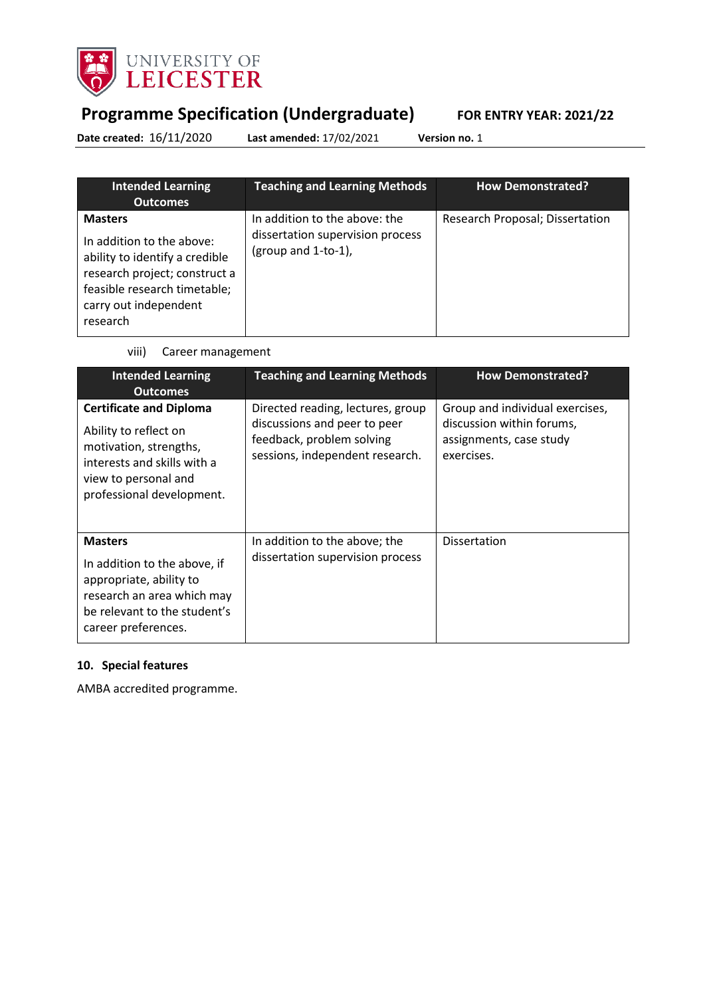

**Date created:** 16/11/2020 **Last amended:** 17/02/2021 **Version no.** 1

| <b>Intended Learning</b><br><b>Outcomes</b>                                                                                                                                         | <b>Teaching and Learning Methods</b>                                                        | <b>How Demonstrated?</b>        |
|-------------------------------------------------------------------------------------------------------------------------------------------------------------------------------------|---------------------------------------------------------------------------------------------|---------------------------------|
| <b>Masters</b><br>In addition to the above:<br>ability to identify a credible<br>research project; construct a<br>feasible research timetable;<br>carry out independent<br>research | In addition to the above: the<br>dissertation supervision process<br>(group and $1$ -to-1), | Research Proposal; Dissertation |

### viii) Career management

| <b>Intended Learning</b><br><b>Outcomes</b>                                                                                                                           | <b>Teaching and Learning Methods</b>                                                                                              | <b>How Demonstrated?</b>                                                                              |
|-----------------------------------------------------------------------------------------------------------------------------------------------------------------------|-----------------------------------------------------------------------------------------------------------------------------------|-------------------------------------------------------------------------------------------------------|
| <b>Certificate and Diploma</b><br>Ability to reflect on<br>motivation, strengths,<br>interests and skills with a<br>view to personal and<br>professional development. | Directed reading, lectures, group<br>discussions and peer to peer<br>feedback, problem solving<br>sessions, independent research. | Group and individual exercises,<br>discussion within forums,<br>assignments, case study<br>exercises. |
| <b>Masters</b><br>In addition to the above, if<br>appropriate, ability to<br>research an area which may<br>be relevant to the student's<br>career preferences.        | In addition to the above; the<br>dissertation supervision process                                                                 | <b>Dissertation</b>                                                                                   |

### **10. Special features**

AMBA accredited programme.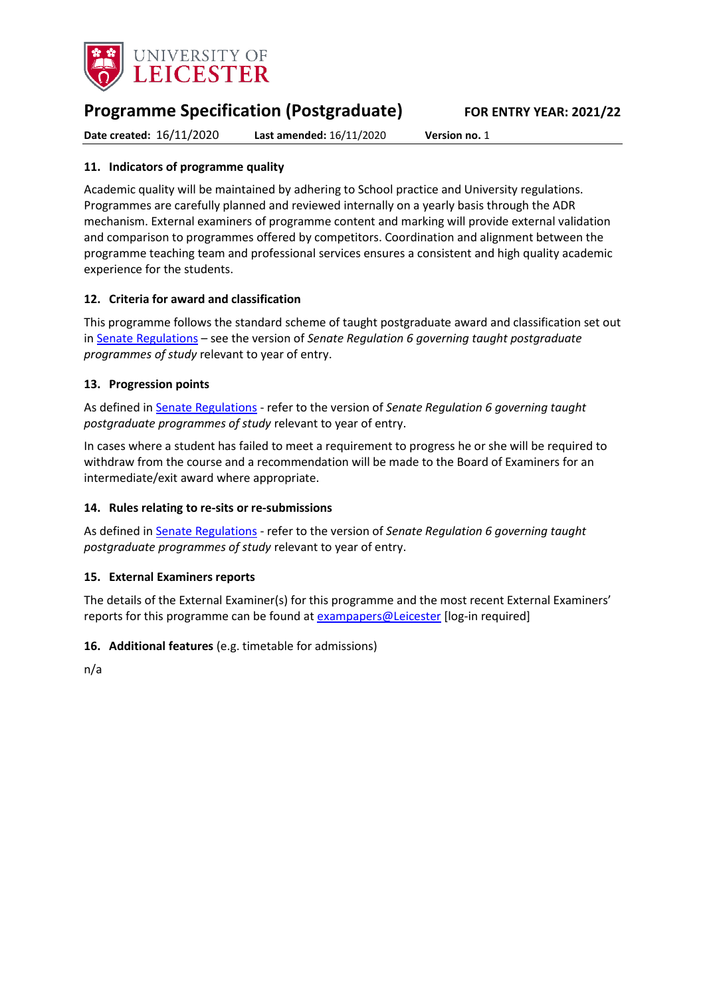

**Date created:** 16/11/2020 **Last amended:** 16/11/2020 **Version no.** 1

### **11. Indicators of programme quality**

Academic quality will be maintained by adhering to School practice and University regulations. Programmes are carefully planned and reviewed internally on a yearly basis through the ADR mechanism. External examiners of programme content and marking will provide external validation and comparison to programmes offered by competitors. Coordination and alignment between the programme teaching team and professional services ensures a consistent and high quality academic experience for the students.

## **12. Criteria for award and classification**

This programme follows the standard scheme of taught postgraduate award and classification set out i[n Senate Regulations](http://www.le.ac.uk/senate-regulations) – see the version of *Senate Regulation 6 governing taught postgraduate programmes of study* relevant to year of entry.

## **13. Progression points**

As defined i[n Senate Regulations](http://www.le.ac.uk/senate-regulation6) - refer to the version of *Senate Regulation 6 governing taught postgraduate programmes of study* relevant to year of entry.

In cases where a student has failed to meet a requirement to progress he or she will be required to withdraw from the course and a recommendation will be made to the Board of Examiners for an intermediate/exit award where appropriate.

## **14. Rules relating to re-sits or re-submissions**

As defined i[n Senate Regulations](http://www.le.ac.uk/senate-regulation6) - refer to the version of *Senate Regulation 6 governing taught postgraduate programmes of study* relevant to year of entry.

### **15. External Examiners reports**

The details of the External Examiner(s) for this programme and the most recent External Examiners' reports for this programme can be found at **exampapers@Leicester** [log-in required]

**16. Additional features** (e.g. timetable for admissions)

n/a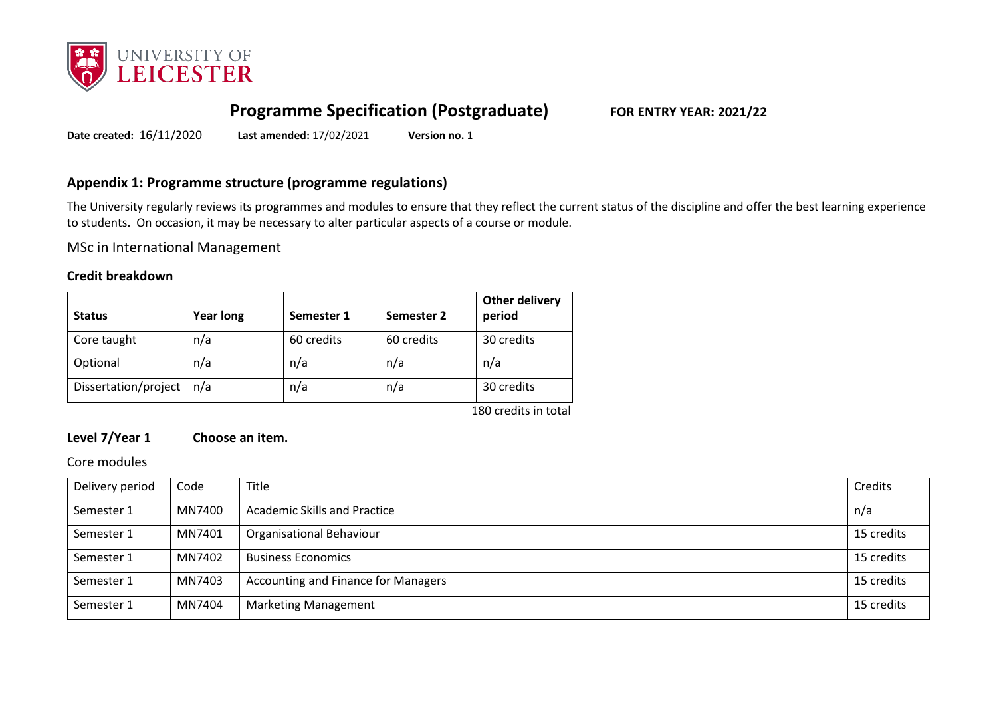

**Date created:** 16/11/2020 **Last amended:** 17/02/2021 **Version no.** 1

## **Appendix 1: Programme structure (programme regulations)**

The University regularly reviews its programmes and modules to ensure that they reflect the current status of the discipline and offer the best learning experience to students. On occasion, it may be necessary to alter particular aspects of a course or module.

MSc in International Management

### **Credit breakdown**

| <b>Status</b>        | <b>Year long</b> | Semester 1 | Semester 2 | Other delivery<br>period |
|----------------------|------------------|------------|------------|--------------------------|
| Core taught          | n/a              | 60 credits | 60 credits | 30 credits               |
| Optional             | n/a              | n/a        | n/a        | n/a                      |
| Dissertation/project | n/a              | n/a        | n/a        | 30 credits               |
|                      |                  |            |            | 180 credits in total     |

### **Level 7/Year 1 Choose an item.**

Core modules

| Delivery period | Code   | Title                                      | Credits    |
|-----------------|--------|--------------------------------------------|------------|
| Semester 1      | MN7400 | <b>Academic Skills and Practice</b>        | n/a        |
| Semester 1      | MN7401 | Organisational Behaviour                   | 15 credits |
| Semester 1      | MN7402 | <b>Business Economics</b>                  | 15 credits |
| Semester 1      | MN7403 | <b>Accounting and Finance for Managers</b> | 15 credits |
| Semester 1      | MN7404 | <b>Marketing Management</b>                | 15 credits |